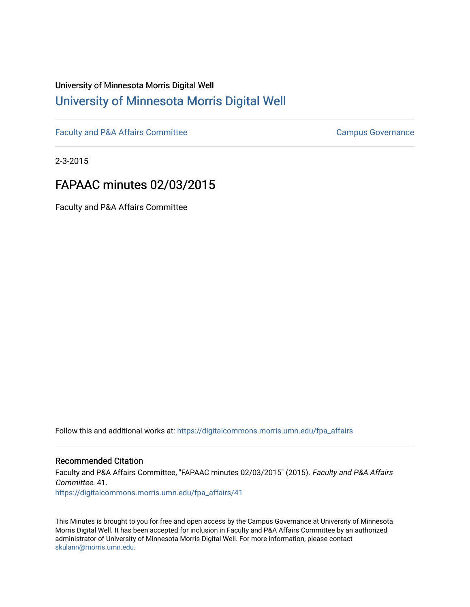# University of Minnesota Morris Digital Well [University of Minnesota Morris Digital Well](https://digitalcommons.morris.umn.edu/)

[Faculty and P&A Affairs Committee](https://digitalcommons.morris.umn.edu/fpa_affairs) [Campus Governance](https://digitalcommons.morris.umn.edu/campgov) Campus Governance

2-3-2015

# FAPAAC minutes 02/03/2015

Faculty and P&A Affairs Committee

Follow this and additional works at: [https://digitalcommons.morris.umn.edu/fpa\\_affairs](https://digitalcommons.morris.umn.edu/fpa_affairs?utm_source=digitalcommons.morris.umn.edu%2Ffpa_affairs%2F41&utm_medium=PDF&utm_campaign=PDFCoverPages)

#### Recommended Citation

Faculty and P&A Affairs Committee, "FAPAAC minutes 02/03/2015" (2015). Faculty and P&A Affairs Committee. 41.

[https://digitalcommons.morris.umn.edu/fpa\\_affairs/41](https://digitalcommons.morris.umn.edu/fpa_affairs/41?utm_source=digitalcommons.morris.umn.edu%2Ffpa_affairs%2F41&utm_medium=PDF&utm_campaign=PDFCoverPages) 

This Minutes is brought to you for free and open access by the Campus Governance at University of Minnesota Morris Digital Well. It has been accepted for inclusion in Faculty and P&A Affairs Committee by an authorized administrator of University of Minnesota Morris Digital Well. For more information, please contact [skulann@morris.umn.edu.](mailto:skulann@morris.umn.edu)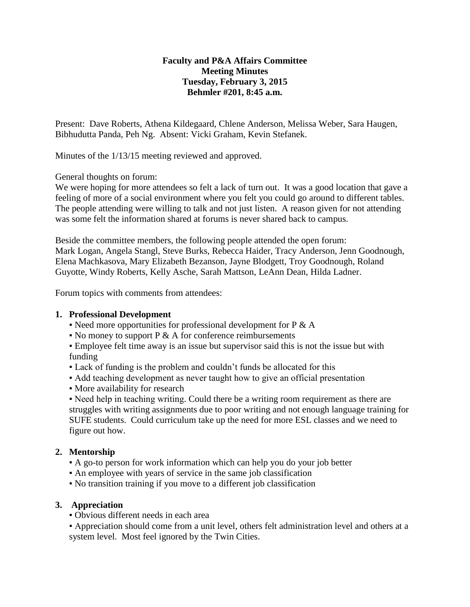### **Faculty and P&A Affairs Committee Meeting Minutes Tuesday, February 3, 2015 Behmler #201, 8:45 a.m.**

Present: Dave Roberts, Athena Kildegaard, Chlene Anderson, Melissa Weber, Sara Haugen, Bibhudutta Panda, Peh Ng. Absent: Vicki Graham, Kevin Stefanek.

Minutes of the 1/13/15 meeting reviewed and approved.

General thoughts on forum:

We were hoping for more attendees so felt a lack of turn out. It was a good location that gave a feeling of more of a social environment where you felt you could go around to different tables. The people attending were willing to talk and not just listen. A reason given for not attending was some felt the information shared at forums is never shared back to campus.

Beside the committee members, the following people attended the open forum: Mark Logan, Angela Stangl, Steve Burks, Rebecca Haider, Tracy Anderson, Jenn Goodnough, Elena Machkasova, Mary Elizabeth Bezanson, Jayne Blodgett, Troy Goodnough, Roland Guyotte, Windy Roberts, Kelly Asche, Sarah Mattson, LeAnn Dean, Hilda Ladner.

Forum topics with comments from attendees:

### **1. Professional Development**

- $\bullet$  Need more opportunities for professional development for P & A
- $\bullet$  No money to support P & A for conference reimbursements

**Employee felt time away is an issue but supervisor said this is not the issue but with** funding

- Lack of funding is the problem and couldn't funds be allocated for this
- Add teaching development as never taught how to give an official presentation
- More availability for research

• Need help in teaching writing. Could there be a writing room requirement as there are struggles with writing assignments due to poor writing and not enough language training for SUFE students. Could curriculum take up the need for more ESL classes and we need to figure out how.

## **2. Mentorship**

- A go-to person for work information which can help you do your job better
- An employee with years of service in the same job classification
- No transition training if you move to a different job classification

### **3. Appreciation**

▪ Obvious different needs in each area

▪ Appreciation should come from a unit level, others felt administration level and others at a system level. Most feel ignored by the Twin Cities.